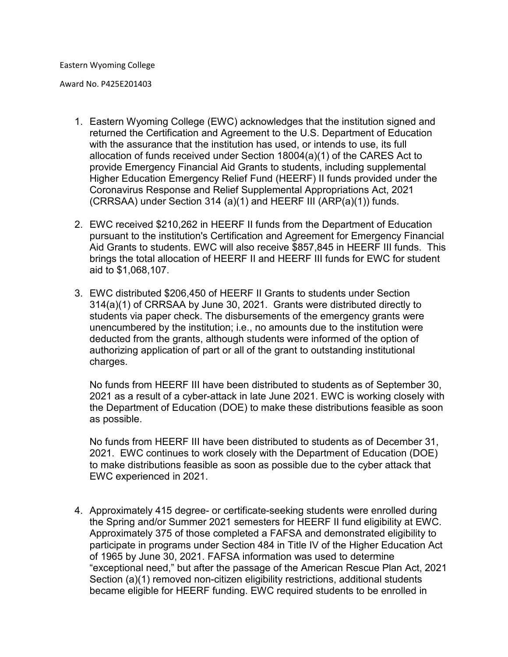Award No. P425E201403

- 1. Eastern Wyoming College (EWC) acknowledges that the institution signed and returned the Certification and Agreement to the U.S. Department of Education with the assurance that the institution has used, or intends to use, its full allocation of funds received under Section 18004(a)(1) of the CARES Act to provide Emergency Financial Aid Grants to students, including supplemental Higher Education Emergency Relief Fund (HEERF) II funds provided under the Coronavirus Response and Relief Supplemental Appropriations Act, 2021 (CRRSAA) under Section 314 (a)(1) and HEERF III (ARP(a)(1)) funds.
- 2. EWC received \$210,262 in HEERF II funds from the Department of Education pursuant to the institution's Certification and Agreement for Emergency Financial Aid Grants to students. EWC will also receive \$857,845 in HEERF III funds. This brings the total allocation of HEERF II and HEERF III funds for EWC for student aid to \$1,068,107.
- 3. EWC distributed \$206,450 of HEERF II Grants to students under Section 314(a)(1) of CRRSAA by June 30, 2021. Grants were distributed directly to students via paper check. The disbursements of the emergency grants were unencumbered by the institution; i.e., no amounts due to the institution were deducted from the grants, although students were informed of the option of authorizing application of part or all of the grant to outstanding institutional charges.

No funds from HEERF III have been distributed to students as of September 30, 2021 as a result of a cyber-attack in late June 2021. EWC is working closely with the Department of Education (DOE) to make these distributions feasible as soon as possible.

No funds from HEERF III have been distributed to students as of December 31, 2021. EWC continues to work closely with the Department of Education (DOE) to make distributions feasible as soon as possible due to the cyber attack that EWC experienced in 2021.

4. Approximately 415 degree- or certificate-seeking students were enrolled during the Spring and/or Summer 2021 semesters for HEERF II fund eligibility at EWC. Approximately 375 of those completed a FAFSA and demonstrated eligibility to participate in programs under Section 484 in Title IV of the Higher Education Act of 1965 by June 30, 2021. FAFSA information was used to determine "exceptional need," but after the passage of the American Rescue Plan Act, 2021 Section (a)(1) removed non-citizen eligibility restrictions, additional students became eligible for HEERF funding. EWC required students to be enrolled in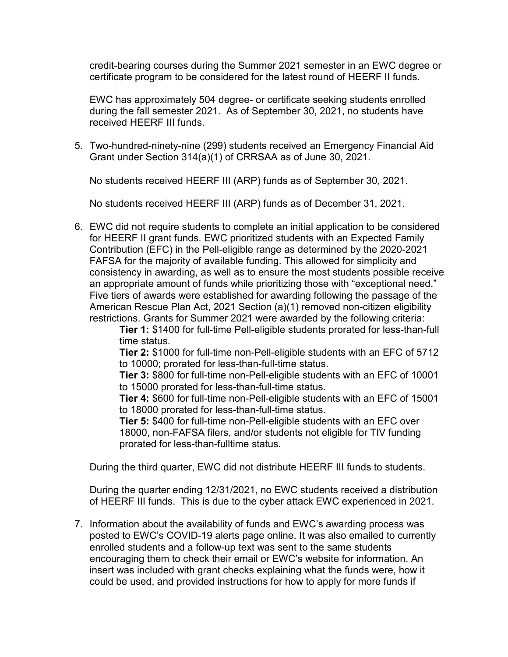credit-bearing courses during the Summer 2021 semester in an EWC degree or certificate program to be considered for the latest round of HEERF II funds.

EWC has approximately 504 degree- or certificate seeking students enrolled during the fall semester 2021. As of September 30, 2021, no students have received HEERF III funds.

5. Two-hundred-ninety-nine (299) students received an Emergency Financial Aid Grant under Section 314(a)(1) of CRRSAA as of June 30, 2021.

No students received HEERF III (ARP) funds as of September 30, 2021.

No students received HEERF III (ARP) funds as of December 31, 2021.

6. EWC did not require students to complete an initial application to be considered for HEERF II grant funds. EWC prioritized students with an Expected Family Contribution (EFC) in the Pell-eligible range as determined by the 2020-2021 FAFSA for the majority of available funding. This allowed for simplicity and consistency in awarding, as well as to ensure the most students possible receive an appropriate amount of funds while prioritizing those with "exceptional need." Five tiers of awards were established for awarding following the passage of the American Rescue Plan Act, 2021 Section (a)(1) removed non-citizen eligibility restrictions. Grants for Summer 2021 were awarded by the following criteria:

**Tier 1:** \$1400 for full-time Pell-eligible students prorated for less-than-full time status.

**Tier 2:** \$1000 for full-time non-Pell-eligible students with an EFC of 5712 to 10000; prorated for less-than-full-time status.

**Tier 3:** \$800 for full-time non-Pell-eligible students with an EFC of 10001 to 15000 prorated for less-than-full-time status.

**Tier 4:** \$600 for full-time non-Pell-eligible students with an EFC of 15001 to 18000 prorated for less-than-full-time status.

**Tier 5:** \$400 for full-time non-Pell-eligible students with an EFC over 18000, non-FAFSA filers, and/or students not eligible for TIV funding prorated for less-than-fulltime status.

During the third quarter, EWC did not distribute HEERF III funds to students.

During the quarter ending 12/31/2021, no EWC students received a distribution of HEERF III funds. This is due to the cyber attack EWC experienced in 2021.

7. Information about the availability of funds and EWC's awarding process was posted to EWC's COVID-19 alerts page online. It was also emailed to currently enrolled students and a follow-up text was sent to the same students encouraging them to check their email or EWC's website for information. An insert was included with grant checks explaining what the funds were, how it could be used, and provided instructions for how to apply for more funds if